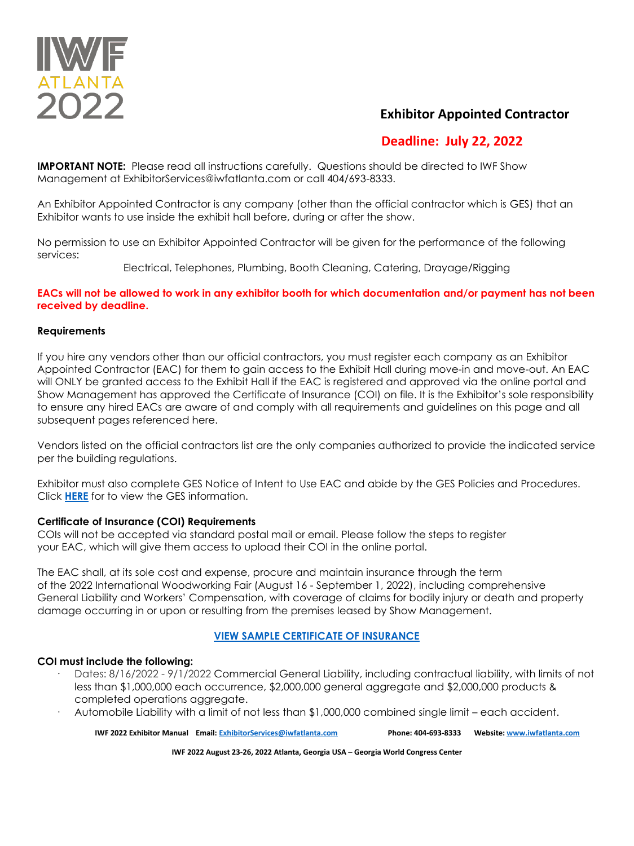

### **Exhibitor Appointed Contractor**

# **Deadline: July 22, 2022**

**IMPORTANT NOTE:** Please read all instructions carefully. Questions should be directed to IWF Show Management at ExhibitorServices@iwfatlanta.com or call 404/693-8333.

An Exhibitor Appointed Contractor is any company (other than the official contractor which is GES) that an Exhibitor wants to use inside the exhibit hall before, during or after the show.

No permission to use an Exhibitor Appointed Contractor will be given for the performance of the following services:

Electrical, Telephones, Plumbing, Booth Cleaning, Catering, Drayage/Rigging

#### **EACs will not be allowed to work in any exhibitor booth for which documentation and/or payment has not been received by deadline.**

#### **Requirements**

If you hire any vendors other than our official contractors, you must register each company as an Exhibitor Appointed Contractor (EAC) for them to gain access to the Exhibit Hall during move-in and move-out. An EAC will ONLY be granted access to the Exhibit Hall if the EAC is registered and approved via the online portal and Show Management has approved the Certificate of Insurance (COI) on file. It is the Exhibitor's sole responsibility to ensure any hired EACs are aware of and comply with all requirements and guidelines on this page and all subsequent pages referenced here.

Vendors listed on the official contractors list are the only companies authorized to provide the indicated service per the building regulations.

Exhibitor must also complete GES Notice of Intent to Use EAC and abide by the GES Policies and Procedures. Click **[HERE](https://ordering.ges.com/051600534/eacs)** for to view the GES information.

#### **Certificate of Insurance (COI) Requirements**

COIs will not be accepted via standard postal mail or email. Please follow the steps to register your EAC, which will give them access to upload their COI in the online portal.

The EAC shall, at its sole cost and expense, procure and maintain insurance through the term of the 2022 International Woodworking Fair (August 16 - September 1, 2022), including comprehensive General Liability and Workers' Compensation, with coverage of claims for bodily injury or death and property damage occurring in or upon or resulting from the premises leased by Show Management.

### **[VIEW SAMPLE CERTIFICATE OF INSURANCE](https://www.iwfatlanta.com/pdfs/certificate-of-insurance-example.pdf)**

### **COI must include the following:**

- Dates: 8/16/2022 9/1/2022 Commercial General Liability, including contractual liability, with limits of not less than \$1,000,000 each occurrence, \$2,000,000 general aggregate and \$2,000,000 products & completed operations aggregate.
- · Automobile Liability with a limit of not less than \$1,000,000 combined single limit each accident.

**IWF 2022 Exhibitor Manual Email[: ExhibitorServices@iwfatlanta.com](mailto:ExhibitorServices@iwfatlanta.com) Phone: 404-693-8333 Website[: www.iwfatlanta.com](http://www.iwfatlanta.com/)**

**IWF 2022 August 23-26, 2022 Atlanta, Georgia USA – Georgia World Congress Center**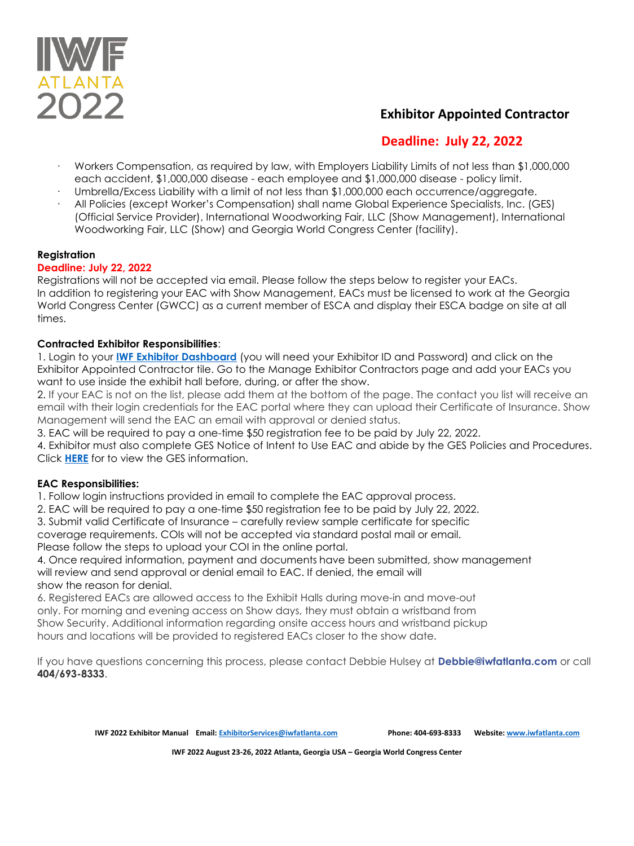

## **Exhibitor Appointed Contractor**

# **Deadline: July 22, 2022**

- · Workers Compensation, as required by law, with Employers Liability Limits of not less than \$1,000,000 each accident, \$1,000,000 disease - each employee and \$1,000,000 disease - policy limit.
- Umbrella/Excess Liability with a limit of not less than \$1,000,000 each occurrence/aggregate.
- · All Policies (except Worker's Compensation) shall name Global Experience Specialists, Inc. (GES) (Official Service Provider), International Woodworking Fair, LLC (Show Management), International Woodworking Fair, LLC (Show) and Georgia World Congress Center (facility).

### **Registration**

### **Deadline: July 22, 2022**

Registrations will not be accepted via email. Please follow the steps below to register your EACs. In addition to registering your EAC with Show Management, EACs must be licensed to work at the Georgia World Congress Center (GWCC) as a current member of ESCA and display their ESCA badge on site at all times.

### **Contracted Exhibitor Responsibilities**:

1. Login to your **[IWF Exhibitor Dashboard](https://iwf22.exh.mapyourshow.com/6_0/login.cfm)** (you will need your Exhibitor ID and Password) and click on the Exhibitor Appointed Contractor tile. Go to the Manage Exhibitor Contractors page and add your EACs you want to use inside the exhibit hall before, during, or after the show.

2. If your EAC is not on the list, please add them at the bottom of the page. The contact you list will receive an email with their login credentials for the EAC portal where they can upload their Certificate of Insurance. Show Management will send the EAC an email with approval or denied status.

3. EAC will be required to pay a one-time \$50 registration fee to be paid by July 22, 2022.

4. Exhibitor must also complete GES Notice of Intent to Use EAC and abide by the GES Policies and Procedures. Click **[HERE](https://ordering.ges.com/051600534/eacs)** for to view the GES information.

### **EAC Responsibilities:**

1. Follow login instructions provided in email to complete the EAC approval process.

2. EAC will be required to pay a one-time \$50 registration fee to be paid by July 22, 2022.

3. Submit valid Certificate of Insurance – carefully review sample certificate for specific

coverage requirements. COIs will not be accepted via standard postal mail or email.

Please follow the steps to upload your COI in the online portal. 4. Once required information, payment and documents have been submitted, show management

will review and send approval or denial email to EAC. If denied, the email will show the reason for denial.

6. Registered EACs are allowed access to the Exhibit Halls during move-in and move-out only. For morning and evening access on Show days, they must obtain a wristband from Show Security. Additional information regarding onsite access hours and wristband pickup hours and locations will be provided to registered EACs closer to the show date.

If you have questions concerning this process, please contact Debbie Hulsey at **Debbie@iwfatlanta.com** or call **404/693-8333**.

**IWF 2022 Exhibitor Manual Email[: ExhibitorServices@iwfatlanta.com](mailto:ExhibitorServices@iwfatlanta.com) Phone: 404-693-8333 Website[: www.iwfatlanta.com](http://www.iwfatlanta.com/)**

**IWF 2022 August 23-26, 2022 Atlanta, Georgia USA – Georgia World Congress Center**